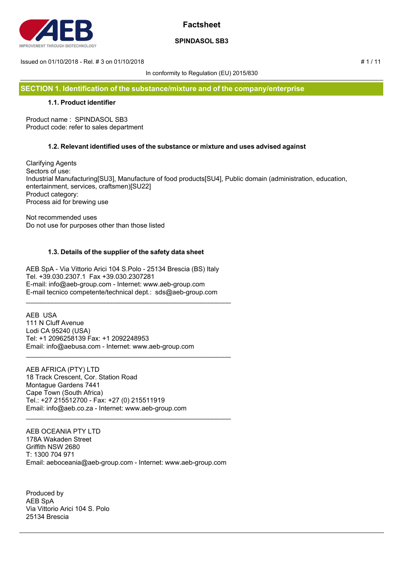

## **SPINDASOL SB3**

Issued on 01/10/2018 - Rel. # 3 on 01/10/2018 # 1 / 11

In conformity to Regulation (EU) 2015/830

**SECTION 1. Identification of the substance/mixture and of the company/enterprise**

## **1.1. Product identifier**

Product name : SPINDASOL SB3 Product code: refer to sales department

## **1.2. Relevant identified uses of the substance or mixture and uses advised against**

Clarifying Agents Sectors of use: Industrial Manufacturing[SU3], Manufacture of food products[SU4], Public domain (administration, education, entertainment, services, craftsmen)[SU22] Product category: Process aid for brewing use

Not recommended uses Do not use for purposes other than those listed

## **1.3. Details of the supplier of the safety data sheet**

AEB SpA - Via Vittorio Arici 104 S.Polo - 25134 Brescia (BS) Italy Tel. +39.030.2307.1 Fax +39.030.2307281 E-mail: info@aeb-group.com - Internet: www.aeb-group.com E-mail tecnico competente/technical dept.: sds@aeb-group.com

\_\_\_\_\_\_\_\_\_\_\_\_\_\_\_\_\_\_\_\_\_\_\_\_\_\_\_\_\_\_\_\_\_\_\_\_\_\_\_\_\_\_\_\_\_\_\_\_\_\_\_\_\_\_\_

\_\_\_\_\_\_\_\_\_\_\_\_\_\_\_\_\_\_\_\_\_\_\_\_\_\_\_\_\_\_\_\_\_\_\_\_\_\_\_\_\_\_\_\_\_\_\_\_\_\_\_\_\_\_\_

AEB USA 111 N Cluff Avenue Lodi CA 95240 (USA) Tel: +1 2096258139 Fax: +1 2092248953 Email: info@aebusa.com - Internet: www.aeb-group.com

AEB AFRICA (PTY) LTD 18 Track Crescent, Cor. Station Road Montague Gardens 7441 Cape Town (South Africa) Tel.: +27 215512700 - Fax: +27 (0) 215511919 Email: info@aeb.co.za - Internet: www.aeb-group.com

AEB OCEANIA PTY LTD 178A Wakaden Street Griffith NSW 2680 T: 1300 704 971 Email: aeboceania@aeb-group.com - Internet: www.aeb-group.com

\_\_\_\_\_\_\_\_\_\_\_\_\_\_\_\_\_\_\_\_\_\_\_\_\_\_\_\_\_\_\_\_\_\_\_\_\_\_\_\_\_\_\_\_\_\_\_\_\_\_\_\_\_\_\_

Produced by AEB SpA Via Vittorio Arici 104 S. Polo 25134 Brescia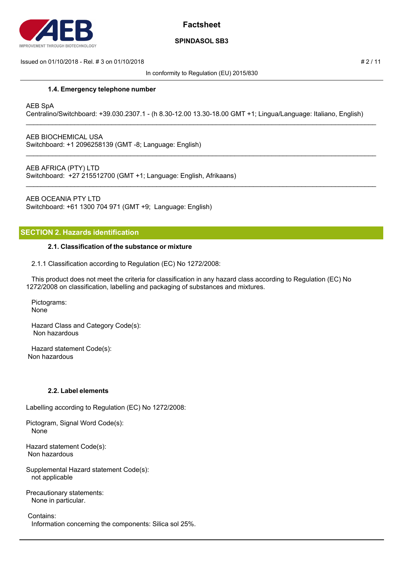

## **SPINDASOL SB3**

#### $\mu$  Issued on 01/10/2018 - Rel. # 3 on 01/10/2018  $\mu$  2 / 11

In conformity to Regulation (EU) 2015/830

### **1.4. Emergency telephone number**

### AEB SpA

Centralino/Switchboard: +39.030.2307.1 - (h 8.30-12.00 13.30-18.00 GMT +1; Lingua/Language: Italiano, English)

\_\_\_\_\_\_\_\_\_\_\_\_\_\_\_\_\_\_\_\_\_\_\_\_\_\_\_\_\_\_\_\_\_\_\_\_\_\_\_\_\_\_\_\_\_\_\_\_\_\_\_\_\_\_\_\_\_\_\_\_\_\_\_\_\_\_\_\_\_\_\_\_\_\_\_\_\_\_\_\_\_\_\_\_\_\_\_\_\_\_\_\_\_\_

\_\_\_\_\_\_\_\_\_\_\_\_\_\_\_\_\_\_\_\_\_\_\_\_\_\_\_\_\_\_\_\_\_\_\_\_\_\_\_\_\_\_\_\_\_\_\_\_\_\_\_\_\_\_\_\_\_\_\_\_\_\_\_\_\_\_\_\_\_\_\_\_\_\_\_\_\_\_\_\_\_\_\_\_\_\_\_\_\_\_\_\_\_\_

\_\_\_\_\_\_\_\_\_\_\_\_\_\_\_\_\_\_\_\_\_\_\_\_\_\_\_\_\_\_\_\_\_\_\_\_\_\_\_\_\_\_\_\_\_\_\_\_\_\_\_\_\_\_\_\_\_\_\_\_\_\_\_\_\_\_\_\_\_\_\_\_\_\_\_\_\_\_\_\_\_\_\_\_\_\_\_\_\_\_\_\_\_\_

AEB BIOCHEMICAL USA Switchboard: +1 2096258139 (GMT -8; Language: English)

AEB AFRICA (PTY) LTD

Switchboard: +27 215512700 (GMT +1; Language: English, Afrikaans)

AEB OCEANIA PTY LTD Switchboard: +61 1300 704 971 (GMT +9; Language: English)

## **SECTION 2. Hazards identification**

### **2.1. Classification of the substance or mixture**

2.1.1 Classification according to Regulation (EC) No 1272/2008:

 This product does not meet the criteria for classification in any hazard class according to Regulation (EC) No 1272/2008 on classification, labelling and packaging of substances and mixtures.

 Pictograms: None

 Hazard Class and Category Code(s): Non hazardous

 Hazard statement Code(s): Non hazardous

### **2.2. Label elements**

Labelling according to Regulation (EC) No 1272/2008:

Pictogram, Signal Word Code(s): None

Hazard statement Code(s): Non hazardous

Supplemental Hazard statement Code(s): not applicable

Precautionary statements: None in particular.

 Contains: Information concerning the components: Silica sol 25%.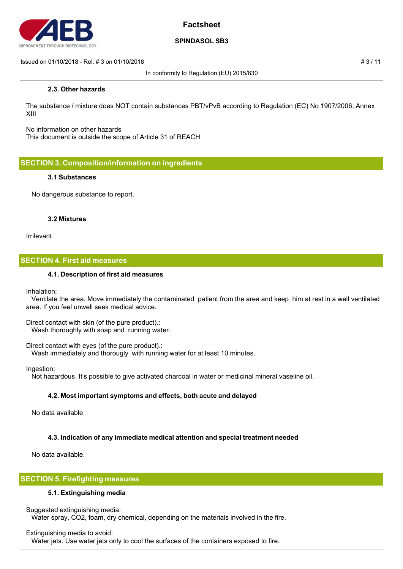

## **SPINDASOL SB3**

Issued on 01/10/2018 - Rel. # 3 on 01/10/2018 # 3 / 11

In conformity to Regulation (EU) 2015/830

## **2.3. Other hazards**

The substance / mixture does NOT contain substances PBT/vPvB according to Regulation (EC) No 1907/2006, Annex XIII

No information on other hazards This document is outside the scope of Article 31 of REACH

**SECTION 3. Composition/information on ingredients**

### **3.1 Substances**

No dangerous substance to report.

### **3.2 Mixtures**

Irrilevant

### **SECTION 4. First aid measures**

### **4.1. Description of first aid measures**

Inhalation:

 Ventilate the area. Move immediately the contaminated patient from the area and keep him at rest in a well ventilated area. If you feel unwell seek medical advice.

Direct contact with skin (of the pure product).: Wash thoroughly with soap and running water.

Direct contact with eyes (of the pure product).: Wash immediately and thorougly with running water for at least 10 minutes.

Ingestion:

Not hazardous. It's possible to give activated charcoal in water or medicinal mineral vaseline oil.

### **4.2. Most important symptoms and effects, both acute and delayed**

No data available.

### **4.3. Indication of any immediate medical attention and special treatment needed**

No data available.

## **SECTION 5. Firefighting measures**

### **5.1. Extinguishing media**

Suggested extinguishing media:

Water spray, CO2, foam, dry chemical, depending on the materials involved in the fire.

Extinguishing media to avoid:

Water jets. Use water jets only to cool the surfaces of the containers exposed to fire.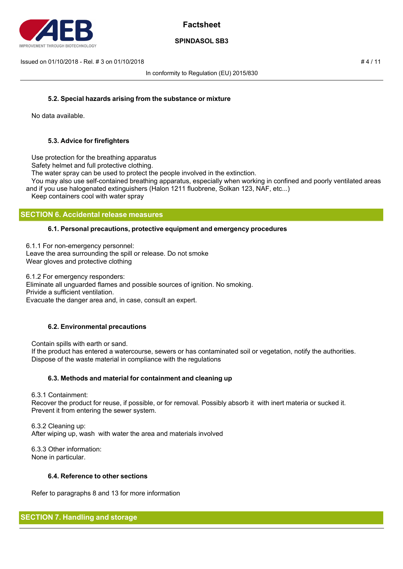

## **SPINDASOL SB3**

 $\mu$  Issued on 01/10/2018 - Rel. # 3 on 01/10/2018  $\mu$  4 / 11

In conformity to Regulation (EU) 2015/830

## **5.2. Special hazards arising from the substance or mixture**

No data available.

## **5.3. Advice for firefighters**

Use protection for the breathing apparatus

Safety helmet and full protective clothing.

The water spray can be used to protect the people involved in the extinction.

 You may also use self-contained breathing apparatus, especially when working in confined and poorly ventilated areas and if you use halogenated extinguishers (Halon 1211 fluobrene, Solkan 123, NAF, etc...)

Keep containers cool with water spray

## **SECTION 6. Accidental release measures**

### **6.1. Personal precautions, protective equipment and emergency procedures**

6.1.1 For non-emergency personnel: Leave the area surrounding the spill or release. Do not smoke Wear gloves and protective clothing

6.1.2 For emergency responders: Eliminate all unguarded flames and possible sources of ignition. No smoking. Privide a sufficient ventilation. Evacuate the danger area and, in case, consult an expert.

## **6.2. Environmental precautions**

 Contain spills with earth or sand. If the product has entered a watercourse, sewers or has contaminated soil or vegetation, notify the authorities. Dispose of the waste material in compliance with the regulations

### **6.3. Methods and material for containment and cleaning up**

6.3.1 Containment:

 Recover the product for reuse, if possible, or for removal. Possibly absorb it with inert materia or sucked it. Prevent it from entering the sewer system.

 6.3.2 Cleaning up: After wiping up, wash with water the area and materials involved

 6.3.3 Other information: None in particular.

### **6.4. Reference to other sections**

Refer to paragraphs 8 and 13 for more information

# **SECTION 7. Handling and storage**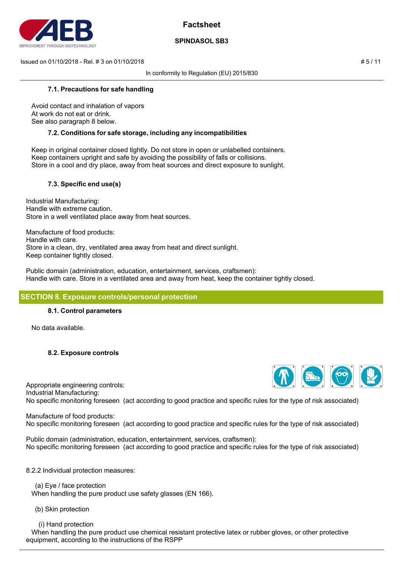

## **SPINDASOL SB3**

 $\mu = 5 / 11$  Issued on 01/10/2018 - Rel. # 3 on 01/10/2018

In conformity to Regulation (EU) 2015/830

## **7.1. Precautions for safe handling**

 Avoid contact and inhalation of vapors At work do not eat or drink. See also paragraph 8 below.

## **7.2. Conditions for safe storage, including any incompatibilities**

 Keep in original container closed tightly. Do not store in open or unlabelled containers. Keep containers upright and safe by avoiding the possibility of falls or collisions. Store in a cool and dry place, away from heat sources and direct exposure to sunlight.

## **7.3. Specific end use(s)**

Industrial Manufacturing: Handle with extreme caution. Store in a well ventilated place away from heat sources.

Manufacture of food products: Handle with care. Store in a clean, dry, ventilated area away from heat and direct sunlight. Keep container tightly closed.

Public domain (administration, education, entertainment, services, craftsmen): Handle with care. Store in a ventilated area and away from heat, keep the container tightly closed.

## **SECTION 8. Exposure controls/personal protection**

### **8.1. Control parameters**

No data available.

## **8.2. Exposure controls**

Appropriate engineering controls: Industrial Manufacturing: No specific monitoring foreseen (act according to good practice and specific rules for the type of risk associated)

Manufacture of food products: No specific monitoring foreseen (act according to good practice and specific rules for the type of risk associated)

Public domain (administration, education, entertainment, services, craftsmen): No specific monitoring foreseen (act according to good practice and specific rules for the type of risk associated)

### 8.2.2 Individual protection measures:

 (a) Eye / face protection When handling the pure product use safety glasses (EN 166).

(b) Skin protection

(i) Hand protection

 When handling the pure product use chemical resistant protective latex or rubber gloves, or other protective equipment, according to the instructions of the RSPP

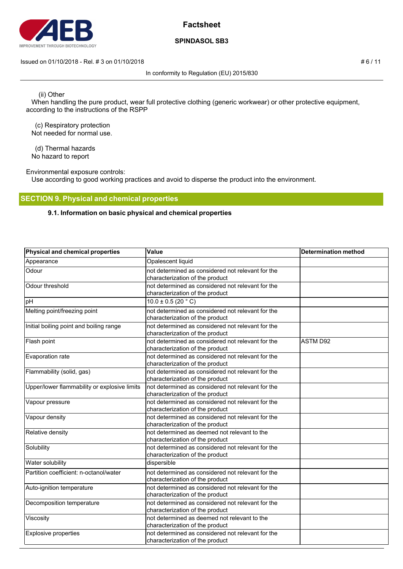

## **SPINDASOL SB3**

#### Issued on 01/10/2018 - Rel. # 3 on 01/10/2018 **# 6 / 11**

In conformity to Regulation (EU) 2015/830

(ii) Other

 When handling the pure product, wear full protective clothing (generic workwear) or other protective equipment, according to the instructions of the RSPP

 (c) Respiratory protection Not needed for normal use.

 (d) Thermal hazards No hazard to report

Environmental exposure controls:

Use according to good working practices and avoid to disperse the product into the environment.

## **SECTION 9. Physical and chemical properties**

## **9.1. Information on basic physical and chemical properties**

| Physical and chemical properties             | Value                                                                                | <b>Determination method</b> |
|----------------------------------------------|--------------------------------------------------------------------------------------|-----------------------------|
| Appearance                                   | Opalescent liquid                                                                    |                             |
| Odour                                        | not determined as considered not relevant for the<br>characterization of the product |                             |
| Odour threshold                              | not determined as considered not relevant for the<br>characterization of the product |                             |
| pH                                           | $10.0 \pm 0.5$ (20 °C)                                                               |                             |
| Melting point/freezing point                 | not determined as considered not relevant for the<br>characterization of the product |                             |
| Initial boiling point and boiling range      | not determined as considered not relevant for the<br>characterization of the product |                             |
| Flash point                                  | not determined as considered not relevant for the<br>characterization of the product | <b>ASTM D92</b>             |
| Evaporation rate                             | not determined as considered not relevant for the<br>characterization of the product |                             |
| Flammability (solid, gas)                    | not determined as considered not relevant for the<br>characterization of the product |                             |
| Upper/lower flammability or explosive limits | not determined as considered not relevant for the<br>characterization of the product |                             |
| Vapour pressure                              | not determined as considered not relevant for the<br>characterization of the product |                             |
| Vapour density                               | not determined as considered not relevant for the<br>characterization of the product |                             |
| Relative density                             | not determined as deemed not relevant to the<br>characterization of the product      |                             |
| Solubility                                   | not determined as considered not relevant for the<br>characterization of the product |                             |
| Water solubility                             | dispersible                                                                          |                             |
| Partition coefficient: n-octanol/water       | not determined as considered not relevant for the<br>characterization of the product |                             |
| Auto-ignition temperature                    | not determined as considered not relevant for the<br>characterization of the product |                             |
| Decomposition temperature                    | not determined as considered not relevant for the<br>characterization of the product |                             |
| Viscosity                                    | not determined as deemed not relevant to the<br>characterization of the product      |                             |
| <b>Explosive properties</b>                  | not determined as considered not relevant for the<br>characterization of the product |                             |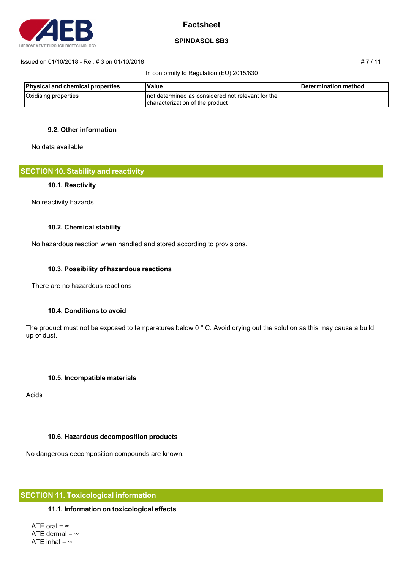

## **SPINDASOL SB3**

#### Issued on 01/10/2018 - Rel. # 3 on 01/10/2018 # 7 / 11

#### In conformity to Regulation (EU) 2015/830

| <b>Physical and chemical properties</b> | Value                                                                                  | Determination method |
|-----------------------------------------|----------------------------------------------------------------------------------------|----------------------|
| Oxidising properties                    | Inot determined as considered not relevant for the<br>Icharacterization of the product |                      |

## **9.2. Other information**

No data available.

**SECTION 10. Stability and reactivity**

### **10.1. Reactivity**

No reactivity hazards

### **10.2. Chemical stability**

No hazardous reaction when handled and stored according to provisions.

### **10.3. Possibility of hazardous reactions**

There are no hazardous reactions

## **10.4. Conditions to avoid**

The product must not be exposed to temperatures below 0 ° C. Avoid drying out the solution as this may cause a build up of dust.

### **10.5. Incompatible materials**

Acids

## **10.6. Hazardous decomposition products**

No dangerous decomposition compounds are known.

## **SECTION 11. Toxicological information**

### **11.1. Information on toxicological effects**

ATE oral =  $\infty$ ATE dermal =  $\infty$ ATE inhal =  $\infty$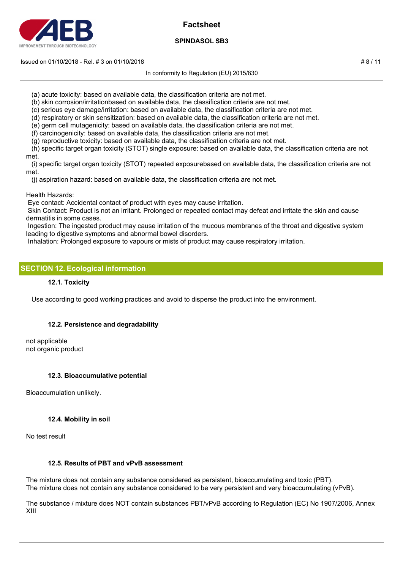

## **SPINDASOL SB3**

#### Issued on 01/10/2018 - Rel. # 3 on 01/10/2018 # 8 / 11

In conformity to Regulation (EU) 2015/830

- (a) acute toxicity: based on available data, the classification criteria are not met.
- (b) skin corrosion/irritationbased on available data, the classification criteria are not met.
- (c) serious eye damage/irritation: based on available data, the classification criteria are not met.
- (d) respiratory or skin sensitization: based on available data, the classification criteria are not met.
- (e) germ cell mutagenicity: based on available data, the classification criteria are not met.
- (f) carcinogenicity: based on available data, the classification criteria are not met.
- (g) reproductive toxicity: based on available data, the classification criteria are not met.
- (h) specific target organ toxicity (STOT) single exposure: based on available data, the classification criteria are not met.
- (i) specific target organ toxicity (STOT) repeated exposurebased on available data, the classification criteria are not met.
	- (j) aspiration hazard: based on available data, the classification criteria are not met.
- Health Hazards:
- Eye contact: Accidental contact of product with eyes may cause irritation.
- Skin Contact: Product is not an irritant. Prolonged or repeated contact may defeat and irritate the skin and cause dermatitis in some cases.
- Ingestion: The ingested product may cause irritation of the mucous membranes of the throat and digestive system leading to digestive symptoms and abnormal bowel disorders.
- Inhalation: Prolonged exposure to vapours or mists of product may cause respiratory irritation.

## **SECTION 12. Ecological information**

### **12.1. Toxicity**

Use according to good working practices and avoid to disperse the product into the environment.

## **12.2. Persistence and degradability**

not applicable not organic product

## **12.3. Bioaccumulative potential**

Bioaccumulation unlikely.

## **12.4. Mobility in soil**

No test result

## **12.5. Results of PBT and vPvB assessment**

The mixture does not contain any substance considered as persistent, bioaccumulating and toxic (PBT). The mixture does not contain any substance considered to be very persistent and very bioaccumulating (vPvB).

The substance / mixture does NOT contain substances PBT/vPvB according to Regulation (EC) No 1907/2006, Annex XIII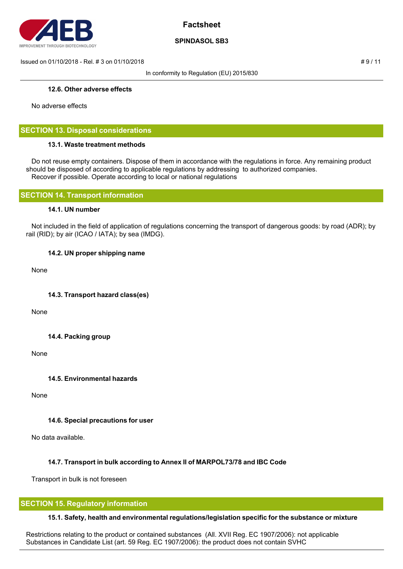

## **SPINDASOL SB3**

 $\mu = 9/11$  Issued on 01/10/2018 - Rel. # 3 on 01/10/2018

In conformity to Regulation (EU) 2015/830

### **12.6. Other adverse effects**

No adverse effects

## **SECTION 13. Disposal considerations**

### **13.1. Waste treatment methods**

 Do not reuse empty containers. Dispose of them in accordance with the regulations in force. Any remaining product should be disposed of according to applicable regulations by addressing to authorized companies. Recover if possible. Operate according to local or national regulations

## **SECTION 14. Transport information**

### **14.1. UN number**

 Not included in the field of application of regulations concerning the transport of dangerous goods: by road (ADR); by rail (RID); by air (ICAO / IATA); by sea (IMDG).

## **14.2. UN proper shipping name**

None

**14.3. Transport hazard class(es)**

None

## **14.4. Packing group**

None

**14.5. Environmental hazards**

None

## **14.6. Special precautions for user**

No data available.

## **14.7. Transport in bulk according to Annex II of MARPOL73/78 and IBC Code**

Transport in bulk is not foreseen

## **SECTION 15. Regulatory information**

## **15.1. Safety, health and environmental regulations/legislation specific for the substance or mixture**

Restrictions relating to the product or contained substances (All. XVII Reg. EC 1907/2006): not applicable Substances in Candidate List (art. 59 Reg. EC 1907/2006): the product does not contain SVHC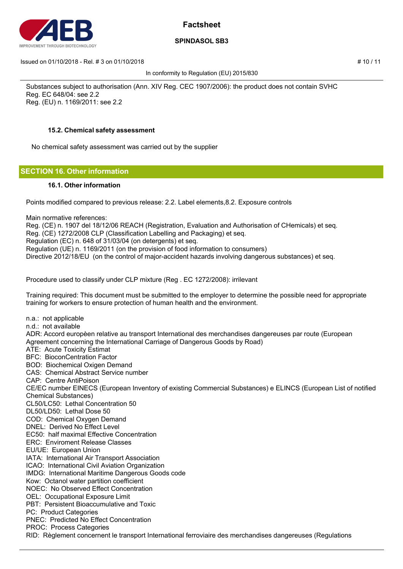

## **SPINDASOL SB3**

Issued on 01/10/2018 - Rel. # 3 on 01/10/2018 # 10 / 11

In conformity to Regulation (EU) 2015/830

Substances subject to authorisation (Ann. XIV Reg. CEC 1907/2006): the product does not contain SVHC Reg. EC 648/04: see 2.2 Reg. (EU) n. 1169/2011: see 2.2

## **15.2. Chemical safety assessment**

No chemical safety assessment was carried out by the supplier

## **SECTION 16. Other information**

### **16.1. Other information**

Points modified compared to previous release: 2.2. Label elements,8.2. Exposure controls

Main normative references:

Reg. (CE) n. 1907 del 18/12/06 REACH (Registration, Evaluation and Authorisation of CHemicals) et seq.

Reg. (CE) 1272/2008 CLP (Classification Labelling and Packaging) et seq.

Regulation (EC) n. 648 of 31/03/04 (on detergents) et seq.

Regulation (UE) n. 1169/2011 (on the provision of food information to consumers)

Directive 2012/18/EU (on the control of major-accident hazards involving dangerous substances) et seq.

Procedure used to classify under CLP mixture (Reg . EC 1272/2008): irrilevant

Training required: This document must be submitted to the employer to determine the possible need for appropriate training for workers to ensure protection of human health and the environment.

n.a.: not applicable n.d.: not available ADR: Accord europèen relative au transport International des merchandises dangereuses par route (European Agreement concerning the International Carriage of Dangerous Goods by Road)

ATE: Acute Toxicity Estimat

BFC: BioconCentration Factor

BOD: Biochemical Oxigen Demand

CAS: Chemical Abstract Service number

CAP: Centre AntiPoison

CE/EC number EINECS (European Inventory of existing Commercial Substances) e ELINCS (European List of notified Chemical Substances)

CL50/LC50: Lethal Concentration 50

DL50/LD50: Lethal Dose 50

COD: Chemical Oxygen Demand

DNEL: Derived No Effect Level

EC50: half maximal Effective Concentration

ERC: Enviroment Release Classes

EU/UE: European Union

IATA: International Air Transport Association

ICAO: International Civil Aviation Organization

IMDG: International Maritime Dangerous Goods code

Kow: Octanol water partition coefficient

NOEC: No Observed Effect Concentration

OEL: Occupational Exposure Limit

PBT: Persistent Bioaccumulative and Toxic

PC: Product Categories

PNEC: Predicted No Effect Concentration

PROC: Process Categories

RID: Règlement concernent le transport International ferroviaire des merchandises dangereuses (Regulations